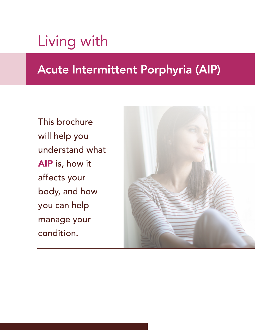# Living with

# Acute Intermittent Porphyria (AIP)

This brochure will help you understand what AIP is, how it affects your body, and how you can help manage your condition.

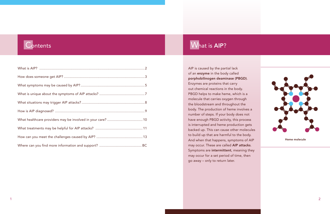AIP is caused by the partial lack of an enzyme in the body called porphobilinogen deaminase (PBGD). Enzymes are proteins that carry out chemical reactions in the body. PBGD helps to make heme, which is a molecule that carries oxygen through the bloodstream and throughout the body. The production of heme involves a number of steps. If your body does not have enough PBGD activity, this process is interrupted and heme production gets backed up. This can cause other molecules to build up that are harmful to the body. And when that happens, symptoms of AIP may occur. These are called AIP attacks. Symptoms are intermittent, meaning they may occur for a set period of time, then go away – only to return later.



# Contents

# What is **AIP**?

Heme molecule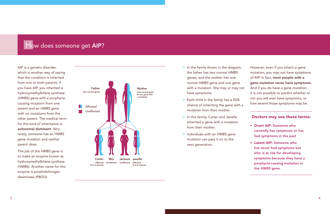## How does someone get AIP?

AIP is a genetic disorder, which is another way of saying that the condition is inherited from one or both parents. If you have AIP, you inherited a hydroxymethylbilane synthase *(HMBS)* gene with a porphyriacausing mutation from one parent and an *HMBS* gene with no mutations from the other parent. The medical term for this kind of inheritance is autosomal dominant. Very rarely, someone has an *HMBS* gene mutation and neither parent does.

- In the family shown in the diagram, the father has two normal *HMBS* genes, and the mother has one normal *HMBS* gene and one gene with a mutation. She may or may not have symptoms.
- Each child in the family has a 50% chance of inheriting the gene with a mutation from their mother.
- In this family, Carter and Janelle inherited a gene with a mutation from their mother.
- Individuals with an *HMBS* gene mutation can pass it on to the next generation.

The job of the *HMBS* gene is to make an enzyme known as hydroxymethylbilane synthase (HMBS). Another name for this enzyme is porphobilinogen deaminase (PBGD).

However, even if you inherit a gene mutation, you may not have symptoms of AIP. In fact, most people with a gene mutation never have symptoms*.*  And if you do have a gene mutation, it is not possible to predict whether or not you will ever have symptoms, or how severe those symptoms may be.

### Doctors may use these terms:

- Overt AIP: Someone who currently has symptoms or has had symptoms in the past
- Latent AIP: Someone who has never had symptoms but who is at risk for developing symptoms because they have a porphyria-causing mutation in the *HMBS* gene.

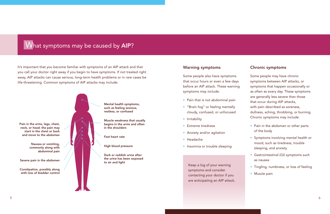Keep a log of your warning symptoms and consider contacting your doctor if you are anticipating an AIP attack.

## Warning symptoms

Some people also have symptoms that occur hours or even a few days before an AIP attack. These warning symptoms may include:

- Pain that is not abdominal pain
- "Brain fog" or feeling mentally cloudy, confused, or unfocused
- Irritability
- Extreme tiredness
- Anxiety and/or agitation
- Headache
- Insomnia or trouble sleeping

## Chronic symptoms

- Pain in the abdomen or other parts of the body
- Symptoms involving mental health or mood, such as tiredness, trouble sleeping, and anxiety
- Gastrointestinal (GI) symptoms such as nausea
- Tingling, numbness, or loss of feeling
- Muscle pain

Some people may have chronic symptoms between AIP attacks, or symptoms that happen occasionally or as often as every day. These symptoms are generally less severe than those that occur during AIP attacks, with pain described as soreness, dullness, aching, throbbing, or burning. Chronic symptoms may include:

# What symptoms may be caused by AIP?

It's important that you become familiar with symptoms of an AIP attack and that you call your doctor right away if you begin to have symptoms. If not treated right away, AIP attacks can cause serious, long-term health problems or in rare cases be life-threatening. Common symptoms of AIP attacks may include:

> Mental health symptoms, such as feeling anxious, restless, or confused

Muscle weakness that usually begins in the arms and often in the shoulders

Fast heart rate

High blood pressure

Dark or reddish urine after the urine has been exposed to air and light

Pain in the arms, legs, chest, neck, or head; the pain may start in the chest or back and move to the abdomen Nausea or vomiting, commonly along with abdominal pain

Severe pain in the abdomen

Constipation, possibly along with loss of bladder control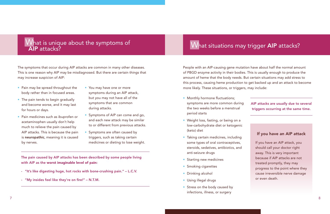## What is unique about the symptoms of **the symptoms of the symptoms of the symptoms**  $\blacksquare$  What situations may trigger AIP attacks? AIP attacks?

The symptoms that occur during AIP attacks are common in many other diseases. This is one reason why AIP may be misdiagnosed. But there are certain things that may increase suspicion of AIP:

- Pain may be spread throughout the body rather than in focused areas.
- The pain tends to begin gradually and become worse, and it may last for hours or days.
- Pain medicines such as ibuprofen or acetaminophen usually don't help much to relieve the pain caused by AIP attacks. This is because the pain is neuropathic, meaning it is caused by nerves.
- You may have one or more symptoms during an AIP attack, but you may not have all of the symptoms that are common during attacks.
- Symptoms of AIP can come and go, and each new attack may be similar to or different from previous attacks.
- Symptoms are often caused by triggers, such as taking certain medicines or dieting to lose weight.
- Monthly hormone fluctuations; symptoms are more common during the two weeks before a menstrual period starts
- Weight loss, fasting, or being on a low-carbohydrate diet or ketogenic (keto) diet
- Taking certain medicines, including some types of oral contraceptives, steroids, sedatives, antibiotics, and anti-seizure drugs
- Starting new medicines
- Smoking cigarettes
- Drinking alcohol
- Using illegal drugs
- Stress on the body caused by infections, illness, or surgery

People with an AIP-causing gene mutation have about half the normal amount of PBGD enzyme activity in their bodies. This is usually enough to produce the amount of heme that the body needs. But certain situations may add stress to this process, causing heme production to get backed up and an attack to become more likely. These situations, or triggers, may include:

> AIP attacks are usually due to several triggers occurring at the same time.

### If you have an AIP attack

If you have an AIP attack, you should call your doctor right away. This is very important because if AIP attacks are not treated promptly, they may progress to the point where they cause irreversible nerve damage or even death.

The pain caused by AIP attacks has been described by some people living with AIP as the worst imaginable level of pain:

- "It's like digesting huge, hot rocks with bone-crushing pain." L.C.V.
- "My insides feel like they're on fire!" N.T.M.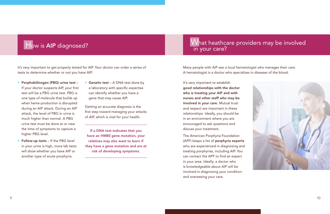## What heathcare providers may be involved in your care?

Many people with AIP see a local hematologist who manages their care. A hematologist is a doctor who specializes in diseases of the blood.

It's very important to establish good relationships with the doctor who is treating your AIP and with nurses and other staff who may be involved in your care. Mutual trust and respect are important in these relationships. Ideally, you should be in an environment where you are encouraged to ask questions and discuss your treatment.

The American Porphyria Foundation (APF) keeps a list of porphyria experts who are experienced in diagnosing and treating porphyrias, including AIP. You can contact the APF to find an expert in your area. Ideally, a doctor who is knowledgeable about AIP will be involved in diagnosing your condition and overseeing your care.



• Genetic test – A DNA test done by a laboratory with specific expertise can identify whether you have a gene that may cause AIP.

## How is AIP diagnosed?

It's very important to get properly tested for AIP. Your doctor can order a series of tests to determine whether or not you have AIP:

- Porphobilinogen (PBG) urine test If your doctor suspects AIP, your first test will be a PBG urine test. PBG is one type of molecule that builds up when heme production is disrupted during an AIP attack. During an AIP attack, the level of PBG in urine is much higher than normal. A PBG urine test must be done at or near the time of symptoms to capture a higher PBG level.
- Follow-up tests If the PBG level in your urine is high, more lab tests will show whether you have AIP or another type of acute porphyria.

Getting an accurate diagnosis is the first step toward managing your attacks of AIP, which is vital for your health.

If a DNA test indicates that you have an *HMBS* gene mutation, your relatives may also want to learn if they have a gene mutation and are at risk of developing symptoms.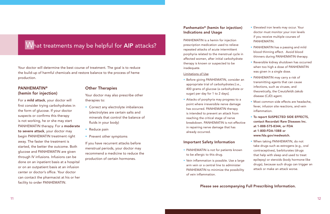## **PANHEMATIN®** (hemin for injection)

## What treatments may be helpful for AIP attacks?

Your doctor will determine the best course of treatment. The goal is to reduce the build-up of harmful chemicals and restore balance to the process of heme production.

> Your doctor may also prescribe other therapies to:

- Correct any electrolyte imbalances (electrolytes are certain salts and minerals that control the balance of fluids in your body)
- Reduce pain
- Prevent other symptoms

For a mild attack, your doctor will first consider trying carbohydrates in the form of glucose. If your doctor suspects or confirms this therapy is not working, he or she may start PANHEMATIN therapy. For a moderate to severe attack, your doctor may begin PANHEMATIN treatment right away. The faster the treatment is started, the better the outcome. Both glucose and PANHEMATIN are given through IV infusions. Infusions can be done on an inpatient basis at a hospital or on an outpatient basis at an infusion center or doctor's office. Your doctor can contact the pharmacist at his or her facility to order PANHEMATIN.

## Other Therapies

If you have recurrent attacks before menstrual periods, your doctor may recommend a medicine to reduce the production of certain hormones.

## Panhematin® (hemin for injection) Indications and Usage

PANHEMATIN is a hemin for injection prescription medication used to relieve repeated attacks of acute intermittent porphyria related to the menstrual cycle in affected women, after initial carbohydrate therapy is known or suspected to be inadequate.

### Limitations of Use

- Before giving PANHEMATIN, consider an appropriate trial of carbohydrates [i.e., 400 grams of glucose (a carbohydrate or sugar) per day for 1 to 2 days].
- Attacks of porphyria may progress to a point where irreversible nerve damage has occurred. PANHEMATIN therapy is intended to prevent an attack from reaching the critical stage of nerve breakdown. PANHEMATIN is not effective in repairing nerve damage that has already occurred.

### Important Safety Information

- PANHEMATIN is not for patients known to be allergic to this drug.
- Vein inflammation is possible. Use a large arm vein or a central line to administer PANHEMATIN to minimize the possibility of vein inflammation.

| • Elevated iron levels may occur. Your                                                                           |
|------------------------------------------------------------------------------------------------------------------|
| doctor must monitor your iron levels                                                                             |
| if you receive multiple courses of                                                                               |
| PANHEMATIN.                                                                                                      |
| • PANHEMATIN has a passing and mild<br>blood thinning effect. Avoid blood<br>thinners during PANHEMATIN therapy. |
| • Reversible kidney shutdown has occurred                                                                        |
| when too high a dose of PANHEMATIN                                                                               |
| was given in a single dose.                                                                                      |
| • PANHEMATIN may carry a risk of                                                                                 |
| transmitting agents that can cause                                                                               |
| infections, such as viruses, and                                                                                 |
| theoretically, the Creutzfeldt-Jakob                                                                             |
| disease (CJD) agent.                                                                                             |

- Most common side effects are headache, fever, infusion site reactions, and vein inflammation.
- To report SUSPECTED SIDE EFFECTS, contact Recordati Rare Diseases Inc. at 1-888-575-8344, or FDA at 1-800-FDA-1088 or www.fda.gov/medwatch.
- When taking PANHEMATIN, do not take drugs such as estrogens (e.g., oral contraceptives), barbiturates (drugs that help with sleep and used to treat epilepsy) or steroids (body hormone-like drugs), because such drugs can trigger an attack or make an attack worse.

## Please see accompanying Full Prescribing Information.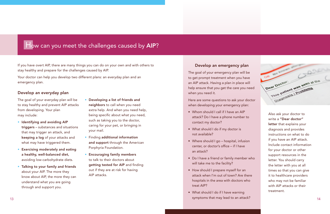Also ask your doctor to write a "Dear doctor" letter that explains your diagnosis and provides instructions on what to do if you have an AIP attack. Include contact information for your doctor or other support resources in the letter. You should carry the letter with you at all times so that you can give it to healthcare providers who may not be familiar with AIP attacks or their treatment.

### Develop an emergency plan

The goal of your emergency plan will be to get prompt treatment when you have an AIP attack. Having a plan in place will help ensure that you get the care you need when you need it.

Here are some questions to ask your doctor when developing your emergency plan:

- Whom should I call if I have an AIP attack? Do I have a phone number to contact my doctor?
- What should I do if my doctor is not available?
- Where should I go hospital, infusion center, or doctor's office – if I have an attack?
- Do I have a friend or family member who will take me to the facility?
- How should I prepare myself for an attack when I'm out of town? Are there hospitals in the area with doctors who treat AIP?
- What should I do if I have warning symptoms that may lead to an attack? symptoms that may lead to an attack? The symptoms of the symptoms that may lead to an attack?



## How can you meet the challenges caused by AIP?

If you have overt AIP, there are many things you can do on your own and with others to stay healthy and prepare for the challenges caused by AIP.

Your doctor can help you develop two different plans: an everyday plan and an emergency plan.

## Develop an everyday plan

The goal of your everyday plan will be to stay healthy and prevent AIP attacks from developing. Your plan may include:

- Identifying and avoiding AIP triggers – substances and situations that may trigger an attack, and keeping a log of your attacks and what may have triggered them.
- **Exercising moderately and eating** a healthy, well-balanced diet, avoiding low-carbohydrate diets.
- Talking to your family and friends about your AIP. The more they know about AIP, the more they can understand what you are going through and support you.
- Developing a list of friends and neighbors to call when you need extra help. And when you need help, being specific about what you need, such as taking you to the doctor, caring for your pet, or bringing in your mail.
- Finding additional information and support through the American Porphyria Foundation.
- Encouraging family members to talk to their doctors about getting tested for AIP and finding out if they are at risk for having AIP attacks.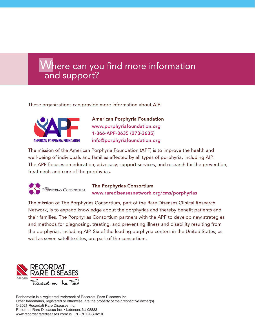## Where can you find more information and support?

These organizations can provide more information about AIP:



American Porphyria Foundation www.porphyriafoundation.org 1-866-APF-3635 (273-3635) info@porphyriafoundation.org

The mission of the American Porphyria Foundation (APF) is to improve the health and well-being of individuals and families affected by all types of porphyria, including AIP. The APF focuses on education, advocacy, support services, and research for the prevention, treatment, and cure of the porphyrias.



The Porphyrias Consortium www.rarediseasesnetwork.org/cms/porphyrias

The mission of The Porphyrias Consortium, part of the Rare Diseases Clinical Research Network, is to expand knowledge about the porphyrias and thereby benefit patients and their families. The Porphyrias Consortium partners with the APF to develop new strategies and methods for diagnosing, treating, and preventing illness and disability resulting from the porphyrias, including AIP. Six of the leading porphyria centers in the United States, as well as seven satellite sites, are part of the consortium.



Panhematin is a registered trademark of Recordati Rare Diseases Inc. Other trademarks, registered or otherwise, are the property of their respective owner(s). © 2021 Recordati Rare Diseases Inc. Recordati Rare Diseases Inc. • Lebanon, NJ 08833 www.recordatirarediseases.com/us PP-PHT-US-0210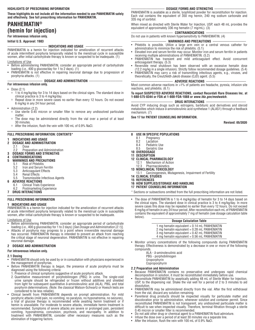#### **HIGHLIGHTS OF PRESCRIBING INFORMATION**

**These highlights do not include all the information needed to use PANHEMATIN safely and effectively. See full prescribing information for PANHEMATIN.**

### **PANHEMATIN® (hemin for injection)**

#### **For intravenous infusion only.**

#### **Initial U.S. Approval: 1983**

#### –––––––––––––––––––––––– **INDICATIONS AND USAGE** ––––––––––––––––––––––

PANHEMATIN is a hemin for injection indicated for amelioration of recurrent attacks of acute intermittent porphyria temporally related to the menstrual cycle in susceptible women, after initial carbohydrate therapy is known or suspected to be inadequate. (1)

- Limitations of Use
- Before administering PANHEMATIN, consider an appropriate period of carbohydrate loading (i.e., 400 g glucose/day for 1 to 2 days). (1)
- PANHEMATIN is not effective in repairing neuronal damage due to progression of porphyria attacks. (1)

#### ––––––––––––––––––––– **DOSAGE AND ADMINISTRATION** ––––––––––––––––––––

### **For intravenous infusion only.**

- Dose (2.1)  $\circ$
- 1 to 4 mg/kg/day for 3 to 14 days based on the clinical signs. The standard dose in clinical practice is 3 to 4 mg/kg/day.
- Repeat dose in more severe cases no earlier than every 12 hours. Do not exceed 6 mg/kg in any 24 hour period.
- Administration (2.2)
	- $\circ$  Use sterile 0.45 micron or smaller filter to remove any undissolved particulate matter.
	- $\circ$  The dose may be administered directly from the vial over a period of at least 30 minutes.
	- $\circ$  After the infusion, flush the vein with 100 mL of 0.9% NaCl.

#### **FULL PRESCRIBING INFORMATION: CONTENTS\***

- **1 INDICATIONS AND USAGE**
- **DOSAGE AND ADMINISTRATION**<br>2.1 Dose
	- Dose
- 2.2 Preparation and Administration<br>3 **DOSAGE FORMS AND STRENGTHS**
- **3 DOSAGE FORMS AND STRENGTHS**
- **4 CONTRAINDICATIONS**

### **WARNINGS AND PRECAUTIONS**<br>5.1 Risk of Phlebitis

- 5.1 Risk of Phlebitis<br>5.2 Iron and Serum I
- 5.2 Iron and Serum Ferritin<br>5.3 Anticoaqulant Fffects
- 5.3 Anticoagulant Effects<br>5.4 Renal Effects
- 5.4 Renal Effects<br>5.5 Transmissible
- 5.5 Transmissible Infectious Agents
- **6 ADVERSE REACTIONS**
	- 6.1 Clinical Trials Experience<br>6.2 Postmarketing Experience
- 6.2 Postmarketing Experience
- **7 DRUG INTERACTIONS**

### **FULL PRESCRIBING INFORMATION**

#### **1 INDICATIONS AND USAGE**

PANHEMATIN is a hemin for injection indicated for the amelioration of recurrent attacks of acute intermittent porphyria temporally related to the menstrual cycle in susceptible women, after initial carbohydrate therapy is known or suspected to be inadequate.

Limitations of Use

- Before administering PANHEMATIN, consider an appropriate period of carbohydrate loading (i.e., 400 g glucose/day for 1 to 2 days) [*See Dosage and Administration (2.1)*].
- Attacks of porphyria may progress to a point where irreversible neuronal damage has occurred. PANHEMATIN therapy is intended to prevent an attack from reaching the critical stage of neuronal degeneration. PANHEMATIN is not effective in repairing neuronal damage.

#### **2 DOSAGE AND ADMINISTRATION**

#### **For intravenous infusion only.**

#### **2.1 Dosing**

- PANHEMATIN should only be used by or in consultation with physicians experienced in the management of porphyrias.
- Before PANHEMATIN therapy is begun, the presence of acute porphyria must be diagnosed using the following criteria:
- 1. Presence of clinical symptoms suggestive of acute porphyric attack.
- 2. Quantitative measurement of porphobilinogen (PBG) in urine. The single-void urine sample should be refrigerated or frozen without additives and shielded from light for subsequent quantitative δ-aminolevulinic acid (ALA), PBG, and total porphyrin determinations. (Note: the classical Watson-Schwartz or Hoesch tests are considered to be less reliable).
- Clinical benefit from PANHEMATIN depends on prompt administration. For mild porphyric attacks (mild pain, no vomiting, no paralysis, no hyponatremia, no seizures), a trial of glucose therapy is recommended while awaiting hemin treatment or if hemin is unavailable. For moderate to severe attacks, immediate hemin treatment is recommended. Symptoms of severe attacks are severe or prolonged pain, persistent vomiting, hyponatremia, convulsion, psychosis, and neuropathy. In addition to treatment with PANHEMATIN, consider other necessary measures such as the elimination of triggering factors.

#### –––––––––––––––––––– **DOSAGE FORMS AND STRENGTHS** –––––––––––––––––––

PANHEMATIN is available as a sterile, lyophilized powder for reconstitution for injection. Each vial contains the equivalent of 350 mg hemin, 240 mg sodium carbonate and 335 mg of sorbitol.

When mixed as directed with Sterile Water for Injection, USP, each 48 mL provides the equivalent of approximately 336 mg hematin (7 mg/mL). (3)

#### ––––––––––––––––––––––––– **CONTRAINDICATIONS** ––––––––––––––––––––––––

Do not use in patients with known hypersensitivity to PANHEMATIN. (4)

- –––––––––––––––––––––––––– **WARNINGS AND PRECAUTIONS**<br>● Phlebitis is possible. Utilize a large arm vein or a ce • Phlebitis is possible. Utilize a large arm vein or a central venous catheter for administration to minimize the risk of phlebitis. (5.1)
- Elevated iron and serum ferritin may occur. Monitor iron and serum ferritin in patients receiving multiple administrations of PANHEMATIN. (5.2)
- PANHEMATIN has transient and mild anticoagulant effect. Avoid concurrent anticoagulant therapy. (5.3)
	- Reversible renal shutdown has been observed with an excessive hematin dose (12.2 mg/kg in a single infusion). Strictly follow recommended dosage guidelines. (5.4)
- PANHEMATIN may carry a risk of transmitting infectious agents, e.g., viruses, and theoretically, the Creutzfeldt-Jakob disease (CJD) agent. (5.5)

#### ––––––––––––––––––––––––– **ADVERSE REACTIONS** ––––––––––––––––––––––––

Most common adverse reactions in >1% of patients are headache, pyrexia, infusion site reactions, and phlebitis. (6.1)

#### **To report SUSPECTED ADVERSE REACTIONS, contact Recordati Rare Diseases Inc. at 1-888-575-8344 or FDA at 1-800-FDA-1088 or** *www.fda.gov/medwatch***.**

#### ––––––––––––––––––––––––– **DRUG INTERACTIONS** ––––––––––––––––––––––––

Avoid CYP inducing drugs such as estrogens, barbituric acid derivatives and steroid metabolites which induce δ-aminolevulinic acid synthetase 1 (ALAS1) through a feedback mechanism. (7)

#### **See 17 for PATIENT COUNSELING INFORMATION.**

**Revised:** 05/2020

- **8 USE IN SPECIFIC POPULATIONS**<br>8.1 Pregnancy 8.1 Pregnancy<br>8.2 Lactation 8.2 Lactation<br>8.4 Pediatric 8.4 Pediatric Use<br>8.5 Geriatric Use Geriatric Use **10 OVERDOSAGE 11 DESCRIPTION 12 CLINICAL PHARMACOLOGY** 12.1 Mechanism of Action<br>12.3 Pharmacokinetics Pharmacokinetics **13 NONCLINICAL TOXICOLOGY 15 REFERENCES**
- **16 HOW SUPPLIED/STORAGE AND HANDLING**
- 

\* Sections or subsections omitted from the full prescribing information are not listed.

• The dose of PANHEMATIN is 1 to 4 mg/kg/day of hematin for 3 to 14 days based on the clinical signs. The standard dose in clinical practice is 3 to 4 mg/kg/day. In more severe cases this dose may be repeated no earlier than every 12 hours. Do not exceed 6 mg/kg of hematin in any 24 hour period. After reconstitution each mL of PANHEMATIN contains the equivalent of approximately 7 mg of hematin (see dosage calculation table below).

| <b>Dosage Calculation Table</b>                |  |  |  |  |  |
|------------------------------------------------|--|--|--|--|--|
| 1 mg hematin equivalent = $0.14$ mL PANHEMATIN |  |  |  |  |  |
| 2 mg hematin equivalent = 0.28 mL PANHEMATIN   |  |  |  |  |  |
| 3 mg hematin equivalent = $0.42$ mL PANHEMATIN |  |  |  |  |  |
| 4 mg hematin equivalent = $0.56$ mL PANHEMATIN |  |  |  |  |  |

• Monitor urinary concentrations of the following compounds during PANHEMATIN therapy. Effectiveness is demonstrated by a decrease in one or more of the following compounds.

ALA - δ-aminolevulinic acid PBG - porphobilinogen Uroporphyrin **Coproporphyrin** 

#### **2.2 Preparation and Administration**

- Because PANHEMATIN contains no preservative and undergoes rapid chemical decomposition in solution, it must be reconstituted immediately before use.
- Reconstitute PANHEMATIN by aseptically adding 48 mL of Sterile Water for Injection, USP, to the dispensing vial. Shake the vial well for a period of 2 to 3 minutes to aid dissolution.
- PANHEMATIN may be administered directly from the vial. After the first withdrawal from the vial, discard any solution remaining.
- Parenteral drug products should be inspected visually for particulate matter and discoloration prior to administration, whenever solution and container permit. Since reconstituted PANHEMATIN is not transparent, any undissolved particulate matter is difficult to see when inspected visually. Therefore, terminal filtration through a sterile 0.45 micron or smaller filter is recommended.
- Do not add other drug or chemical agent to a PANHEMATIN fluid admixture.
- Infuse the dose over a period of at least 30 minutes via a separate line.
- After the infusion, flush the vein with 100 mL of 0.9% NaCl.
- 
- **17 PATIENT COUNSELING INFORMATION**
- Carcinogenesis, Mutagenesis, Impairment of Fertility **14 CLINICAL STUDIES**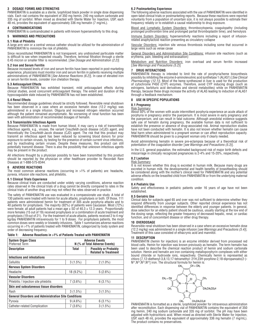#### **3 DOSAGE FORMS AND STRENGTHS**

PANHEMATIN is available as a sterile, lyophilized black powder in single dose dispensing vials. Each vial contains the equivalent of 350 mg hemin, 240 mg sodium carbonate and 335 mg of sorbitol. When mixed as directed with Sterile Water for Injection, USP, each 48 mL provides the equivalent of approximately 336 mg hematin (7 mg/mL).

#### **4 CONTRAINDICATIONS**

PANHEMATIN is contraindicated in patients with known hypersensitivity to this drug.

#### **5 WARNINGS AND PRECAUTIONS**

#### **5.1 Risk of Phlebitis**

A large arm vein or a central venous catheter should be utilized for the administration of PANHEMATIN to minimize the risk of phlebitis.

Since reconstituted PANHEMATIN is not transparent, any undissolved particulate matter is difficult to see when inspected visually. Therefore, terminal filtration through a sterile 0.45 micron or smaller filter is recommended. [*See Dosage and Administration (2.2)*]

#### **5.2 Iron and Serum Ferritin**

Because increased levels of iron and serum ferritin have been reported in post-marketing experience, physicians must monitor iron and serum ferritin in patients receiving multiple administrations of PANHEMATIN [*See Adverse Reactions (6.2)*]. In case of elevated iron or serum ferritin levels, consider iron chelation therapy.

#### **5.3 Anticoagulant Effects**

Because PANHEMATIN has exhibited transient, mild anticoagulant effects during clinical studies, avoid concurrent anticoagulant therapy. The extent and duration of the hypocoagulable state induced by PANHEMATIN has not been established.

#### **5.4 Renal Effects**

Recommended dosage guidelines should be strictly followed. Reversible renal shutdown has been observed in a case where an excessive hematin dose (12.2 mg/kg) was administered in a single infusion. Oliguria and increased nitrogen retention occurred although the patient remained asymptomatic. No worsening of renal function has been seen with administration of recommended dosages of hematin.

#### **5.5 Transmissible Infectious Agents**

Because PANHEMATIN is made from human blood, it may carry a risk of transmitting infectious agents, e.g., viruses, the variant Creuzfeldt-Jacob disease (vCJD) agent, and theoretically the Creuzfeldt-Jacob disease (CJD) agent. The risk that this product may transmit an infectious agent has been reduced by screening blood donors for prior exposure to certain viruses, by testing for the presence of certain current virus infections, and by inactivating certain viruses. Despite these measures, this product can still potentially transmit disease. There is also the possibility that unknown infectious agents may be present in the product.

All infections thought by a physician possibly to have been transmitted by this product should be reported by the physician or other healthcare provider to Recordati Rare Diseases at 1-888-575-8344.

#### **6 ADVERSE REACTIONS**

The most common adverse reactions (occurring in >1% of patients) are: headache, pyrexia, infusion site reactions, and phlebitis.

#### **6.1 Clinical Trials Experience**

Because clinical trials are conducted under widely varying conditions, adverse reaction rates observed in the clinical trials of a drug cannot be directly compared to rates in the clinical trials of another drug and may not reflect the rates observed in practice.

The safety of PANHEMATIN use was evaluated in a compassionate use study. A total of 130 patients were treated with hemin for acute attacks, prophylaxis or both. Of those, 111 patients were administered hemin for treatment of 305 acute porphyria attacks and to 40 patients for prophylaxis. The majority (92%) of patients were Caucasian. Most (72%) were female; all adult patients had a mean age  $\pm$  SD of 40.3  $\pm$  12.3 years. Proportionally more females (15 out of 19) received prophylaxis or a combination of acute treatment and prophylaxis (19 out of 21). For the treatment of acute attacks, patients received 2 to 4 mg/ kg/day PANHEMATIN intravenously for 1 to 9 doses. For prophylaxis patients, the most common doses were weekly or biweekly infusions. Table 1 summarizes adverse reactions occurring in >1% of patients treated with PANHEMATIN, categorized by body system and order of decreasing frequency.

|  |  |  | Table 1: Adverse Reactions in >1% of Patients Treated with PANHEMATIN |
|--|--|--|-----------------------------------------------------------------------|
|  |  |  |                                                                       |

| <b>System Organ Class</b><br><b>Preferred Term</b>          | <b>Adverse Events</b><br>N (% of Total Adverse Events) |                                                            |  |  |  |  |
|-------------------------------------------------------------|--------------------------------------------------------|------------------------------------------------------------|--|--|--|--|
| <b>Description</b>                                          | Total                                                  | <b>Possibly or Probably</b><br><b>Related to Treatment</b> |  |  |  |  |
| <b>Infections and infestations</b>                          |                                                        |                                                            |  |  |  |  |
| Cellulitis                                                  | $3(1.5\%)$                                             | $2(1.0\%)$                                                 |  |  |  |  |
| <b>Nervous System Disorders</b>                             |                                                        |                                                            |  |  |  |  |
| Headache                                                    | 18 (9.2%)                                              | $5(2.6\%)$                                                 |  |  |  |  |
| <b>Vascular Disorders</b>                                   |                                                        |                                                            |  |  |  |  |
| Phlebitis / Injection site phlebitis                        | $7(3.6\%)$                                             | $6(3.1\%)$                                                 |  |  |  |  |
| Skin and subcutaneous tissue disorders                      |                                                        |                                                            |  |  |  |  |
| Rash                                                        | $3(1.5\%)$                                             | $3(1.5\%)$                                                 |  |  |  |  |
| <b>General Disorders and Administration Site Conditions</b> |                                                        |                                                            |  |  |  |  |
| Pyrexia                                                     | $9(4.6\%)$                                             | $6(3.1\%)$                                                 |  |  |  |  |
| Catheter-related Complication                               | $7(3.6\%)$                                             | $3(1.5\%)$                                                 |  |  |  |  |

#### **6.2 Postmarketing Experience**

The following adverse reactions associated with the use of PANHEMATIN were identified in open-label clinical trials or postmarketing reports. Because these reactions were reported voluntarily from a population of uncertain size, it is not always possible to estimate their frequency reliably or to establish a causal relationship to drug exposure.

Blood and Lymphatic System Disorders: thrombocytopenia, coagulopathy (including prolonged prothrombin time and prolonged partial thromboplastin time), and hemolysis

Immune System Disorders: hypersensitivity reactions including a report of infusionrelated anaphylactoid reaction presenting as circulatory collapse

Vascular Disorders: injection site venous thrombosis including some that occurred in large veins such as venae cavae

General Disorders and Administration Site Conditions: infusion site reactions (such as erythema, pain, bleeding and extravasation)

Metabolism and Nutrition Disorders: iron overload and serum ferritin increased [*See Warnings and Precautions (5.2)*]

#### **7 DRUG INTERACTIONS**

PANHEMATIN therapy is intended to limit the rate of porphyria/heme biosynthesis possibly by inhibiting the enzyme δ-aminolevulinic acid synthetase 1 (ALAS1) [*See Clinical Pharmacology (12.1)*]. Most of the heme synthesized in liver is used for the production of cytochrome P450 (CYP) enzymes. Therefore, avoid CYP inducing drugs (such as estrogens, barbituric acid derivatives and steroid metabolites) while on PANHEMATIN therapy, because these drugs increase the activity of ALAS leading to induction of ALAS1 through a feedback mechanism.

#### **8 USE IN SPECIFIC POPULATIONS**

#### **8.1 Pregnancy**

#### Risk Summary

About 50% of the women with acute intermittent porphyria experience an acute attack of porphyria in pregnancy and/or the puerperium. It is most severe in early pregnancy and the puerperium, and can result in fatal outcome. Although anecdotal evidence suggests safe use of hematin during pregnancy, the available human data is not sufficient to establish the presence or absence of drug-associated risk. Animal reproduction studies have not been conducted with hematin. It is also not known whether hematin can cause fetal harm when administered to a pregnant woman or can affect reproduction capacity. PANHEMATIN should be given to a pregnant woman only if clearly needed.

Avoid administering hematin in severe pre-eclampsia because of a theoretical risk of potentiation of the coagulation disorder [*see Warnings and Precautions (5.3)*].

In the U.S. general population, the estimated background risk of major birth defects and miscarriage in clinically recognized pregnancies is 2-4% and 15-20%, respectively.

#### **8.2 Lactation**

#### Risk Summary

It is not known whether this drug is excreted in human milk. Because many drugs are excreted in human milk, the developmental and health benefits of breastfeeding should be considered along with the mother's clinical need for PANHEMATIN and any potential adverse effects on the breastfed child from PANHEMATIN or from the underlying maternal condition.

#### **8.4 Pediatric Use**

Safety and effectiveness in pediatric patients under 16 years of age have not been established.

#### **8.5 Geriatric Use**

Clinical data for subjects aged 65 and over was not sufficient to determine whether they respond differently from younger subjects. Other reported clinical experience has not identified differences in response between the elderly and younger patients. In general, dose selection for an elderly patient should be cautious, usually starting at the low end of the dosing range, reflecting the greater frequency of decreased hepatic, renal, or cardiac function, and of concomitant disease or other drug therapy.

#### **10 OVERDOSAGE**

Reversible renal shutdown has been observed in a case where an excessive hematin dose (12.2 mg/kg) was administered in a single infusion [*see Warnings and Precautions (5.4)*]. Treatment of this case consisted of ethacrynic acid and mannitol.

#### **11 DESCRIPTION**

PANHEMATIN (hemin for injection) is an enzyme inhibitor derived from processed red blood cells. Hemin for injection was known previously as hematin. The term hematin has been used to describe the chemical reaction product of hemin and sodium carbonate solution. Hemin and hematin are iron containing metalloporphyrin complexes with either bound chloride or hydroxide ions, respectively. Chemically hemin is represented as chloro [7,12-diethenyl-3,8,13,17-tetramethyl- 21H,23H-porphine-2,18-dipropanoato(2-)-  $N^{21}, N^{22}, N^{23}, N^{24}$ ] iron. The structural formula for hemin is:<br>CH = CH



PANHEMATIN is formatted as a sterile, lyophilized powder for intravenous administration after reconstitution. Each dispensing vial of PANHEMATIN contains the equivalent of 350 mg hemin, 240 mg sodium carbonate and 335 mg of sorbitol. The pH may have been adjusted with hydrochloric acid. When mixed as directed with Sterile Water for Injection, USP, each 48 mL provides the equivalent of approximately 336 mg hematin (7 mg/mL). The product contains no preservatives.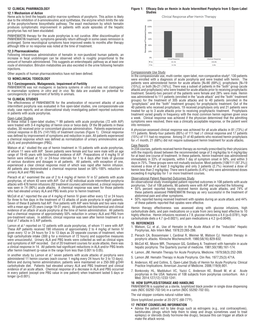#### **12 CLINICAL PHARMACOLOGY**

### **12.1 Mechanism of Action**

Heme acts to limit the hepatic and/or marrow synthesis of porphyrin. This action is likely due to the inhibition of δ-aminolevulinic acid synthetase, the enzyme which limits the rate of the porphyrin/heme biosynthetic pathway. The exact mechanism by which hematin produces symptomatic improvement in patients with acute episodes of the hepatic porphyrias has not been elucidated.

PANHEMATIN therapy for the acute porphyrias is not curative. After discontinuation of PANHEMATIN treatment, symptoms generally return although in some cases remission is prolonged. Some neurological symptoms have improved weeks to months after therapy although little or no response was noted at the time of treatment.

#### **12.3 Pharmacokinetics**

Following intravenous administration of hematin in non-jaundiced human patients, an increase in fecal urobilinogen can be observed which is roughly proportional to the amount of hematin administered. This suggests an enterohepatic pathway as at least one route of elimination. Bilirubin metabolites are also excreted in the urine following hematin injections.

Other aspects of human pharmacokinetics have not been defined.

#### **13 NONCLINICAL TOXICOLOGY**

#### **13.1 Carcinogenesis, Mutagenesis, Impairment of Fertility**

PANHEMATIN was not mutagenic in bacteria systems *in vitro* and was not clastogenic in mammalian systems *in vitro* and *in vivo*. No data are available on potential for carcinogenicity or impairment of fertility in animals.

#### **14 CLINICAL STUDIES**

The effectiveness of PANHEMATIN for the amelioration of recurrent attacks of acute intermittent porphyria was evaluated in five open-label studies, one compassionate-use study, case reports, and an observational study investigating patient reported outcomes in patients with acute porphyrias.

#### Open-Label Studies

In these initial 5 open-label studies,<sup>1-5</sup> 99 patients with acute porphyrias (72 with AIP) were treated with 3-4 mg/kg/day of hemin once or twice daily. Of the 99 patients in these studies, 30 received prior or concomitant glucose administration. Patients experienced a clinical response in 85.5% (141/165) of treatment courses (Figure 1). Clinical response was defined by improvement of symptoms and reduction in pain. All patients experienced a chemical response which was defined as normalization of urinary aminolevulinic acid (ALA) and porphobilinogen (PBG).

Watson et al.<sup>1</sup> studied the use of hemin treatment in 15 patients with acute porphyrias, of whom 11 were with AIP. Seven patients were female and four were male with an age range of 19-45 years with biochemical evidence of AIP. Preparations of 4 mg/kg IV of hemin were infused at 12- or 24-hour intervals for 1 to 4 days after trials of glucose of various durations and dosages in all patients. All patients, with exception of one, experienced a clear clinical response most of which was rapid after hemin infusion. All patients also demonstrated a chemical response based on 58%-100% reduction in urinary ALA and PBG levels.

Pierach et al.<sup>2</sup> examined the use of 2 to 4 mg/kg of hemin IV in 57 patients with acute porphyrias, of whom 43 were with AIP. Out of 82 individual acute intermittent porphyria attacks with 476 hemin infusions (82 treatment courses) administered, a clinical response was seen in 74 (90%) acute attacks. A chemical response was seen for those patients who had elevated urinary ALA and PBG levels prior to hemin treatment.

McColl et al.<sup>3</sup> reported the use of 4 mg/kg of hemin IV given either every 12 or 24 hours for three to five days in the treatment of 13 attacks of acute porphyria in eight patients. Seven of these 8 patients had AIP. Five patients with AIP were female and two were male with a mean age of 25 years (range 19-31 years). All patients had biochemical and clinical evidence of an attack of acute porphyria at the time of hemin administration. All patients had a chemical response of approximately 50% reduction in urinary ALA and PBG from pre-treatment values. In addition, clinical response was seen after hemin treatment in a total of 7 attacks in 5 AIP patients.

Lamon et al.<sup>4</sup> reported on 12 patients with acute porphyrias, of whom 11 were with AIP. These AIP patients received 190 infusions of approximately 2 to 4 mg/kg of hemin IV given every 12 or 24 hours for 3 to 13 days as 20 separate courses of treatment, when high carbohydrate intake (300 g for a minimum of 72 hours) and supportive measures were unsuccessful. Urinary ALA and PBG levels were collected as well as clinical signs and symptoms of AIP recorded. Out of 20 treatment courses for acute attacks, there was a clinical response in 14. All patients had significant reductions in ALA and/or PBG levels after hemin treatment (p-value in the range from less than 0.001 to 0.05).

In another study by Lamon et al.<sup>5</sup> seven patients with acute attacks of porphyria were administered 11 hemin courses (each course: 1 mg/kg every 24 hours for 3 to 13 days). Before and during hemin administration, patients were maintained on a 250-300 g/24H carbohydrate diet. Patients had elevated urinary ALA and PBG treatment and clinical evidence of an acute attack. Chemical response of a decrease in ALA and PBG occurred in every patient (except one PBG value in one patient) when treatment lasted 5 days or longer (p<0.001).

**Figure 1: Efficacy Data on Hemin in Acute Intermittent Porphyria from 5 Open-Label Studies** 



#### Compassionate Use Study

In the compassionate use, multi-center, open-label, non-comparative study $6$ , 130 patients were enrolled with a diagnosis of acute porphyria and were treated with hemin. The patients were administered hemin for acute attacks [N=90 (69%)], prophylaxis [N=19 (15%)], or both [N=21 (16%)]. There was a subset of patients in the "both" group (acute attacks and prophylaxis) who were treated for acute attacks prior to receiving prophylactic treatment. Seventy-two percent of the patients were female and 28% were male. Hemin was administered to 111 patients (enrolled in the "acute attack" and the "both" treatment groups) for the treatment of 305 acute attacks and to 40 patients (enrolled in the "prophylaxis" and the "both" treatment groups) for prophylactic treatment. Out of the 40 patients who received prophylaxis, 19 received prophylaxis only and 21 patients were treated for up to 3 acute attacks prior to receiving prophylactic treatment. Prophylaxis treatment varied greatly in frequency with the most common hemin regimen given once a week. Clinical response was achieved if the physician determined that the admitting symptoms were resolved, there was a clinically acceptable response, or the patient went into remission.

A physician-assessed clinical response was achieved for all acute attacks in 81 (73%) of 111 patients. Ninety-four patients (85%) of 111 had ≥1 clinical response and 17 patients (15%) of 111 had no response. Among 31 of 40 patients who received hemin prophylaxis for >1 month, 21 (68%) did not require subsequent hemin treatment for acute attacks.

#### Case Reports

In 234 courses, patients received hemin therapy as normally prescribed by their physicians with the majority dosed between the recommended range of 3 mg/kg/day to 4 mg/kg/day for at least one course of treatment. In these patients, hemin treatment was administered immediately in 33% of recipients, within 1 day of symptom onset in 50%, and within 3 days in 75%. These groups were not mutually exclusive. Most patients [108/111 (97.3%)] received a dose of at least 3 mg/kg/day and only 3 patients (2.7%) received a dose of hemin less than 2 mg/kg/day. There were 6 patients (5.4%) who were administered doses exceeding 6 mg/kg/day for 1 or more treatment courses.

### Observational Patient Reported Outcomes Study

An observational study investigated patient reported outcomes in 108 patients with acute porphyrias.7 Out of 108 patients, 90 patients were with AIP and reported the following:

- 55% percent reported having received hemin during acute attacks, and 74% of these patients assessed PANHEMATIN therapy as very successful in the treatment of abdominal pain and other symptoms.
- 50% reported having received treatment with opiates during an acute attack, and 44% of these patients reported that opiates were effective.

Hemin therapy effectiveness was assessed along with glucose infusions, high carbohydrate diets, and pain medications on a scale from zero being least effective to 10 highly effective. Hemin infusions received a 7.9, glucose infusions a 4.4 (p=0.0781), high carbohydrate diets a 4.7 (p=0.0021), and pain medications a 4.2 (p=0.0049).

#### **15 REFERENCES**

- 1. Watson, CJ, et al., Use of Hematin in the Acute Attack of the "Inducible" Hepatic Porphyrias, Adv Intern Med. 1978;23:265-286.
- 2. Pierach CA, Bossenmaier I, Cardinal R, Weimer M, Watson CJ. Hematin therapy in porphyric attacks. Klinische Wochenschrift. 1980;58(16):829-832.
- 3. McColl KE, Moore MR, Thompson GG, Goldberg A. Treatment with haematin in acute hepatic porphyria. The Quarterly journal of medicine. 1981;50(198):161-174.
- 4. Lamon, JM, Hematin Therapy for Acute Porphyria, Medicine. 1979;58(3):252-269.
- 5. Lamon JM. Hematin Therapy in Acute Porphyria. Clin Res. 1977;25(3):471A.
- 6. Anderson, KE and Collins, S, Open-Label Study of Hemin for Acute Porphyria: Clinical Practice Implications. American Journal of Medicine. 2006;119(9):801.
- 7. Bonkovsky HL, Maddukuri VC, Yazici C, Anderson KE, Bissell M, et al. Acute porphyrias in the USA: features of 108 subjects from porphyrias consortium. Am J Med. 2014;127(12):1233-1241.

#### **16 HOW SUPPLIED/STORAGE AND HANDLING**

PANHEMATIN is supplied as a sterile, lyophilized black powder in single dose dispensing vials (NDC 55292-702-54) in a carton (NDC 55292-702-55).

The vial stopper contains natural rubber latex.

Store lyophilized powder at 20-25°C (68-77°F).

### **17 PATIENT COUNSELING INFORMATION**

Advise the patient not to take drugs such as estrogens (e.g., oral contraceptives), barbiturates (drugs which help them to sleep and drugs sometimes used to treat epilepsy) or steroids (body hormone-like drugs), because this can trigger an attack or make the attack worse.